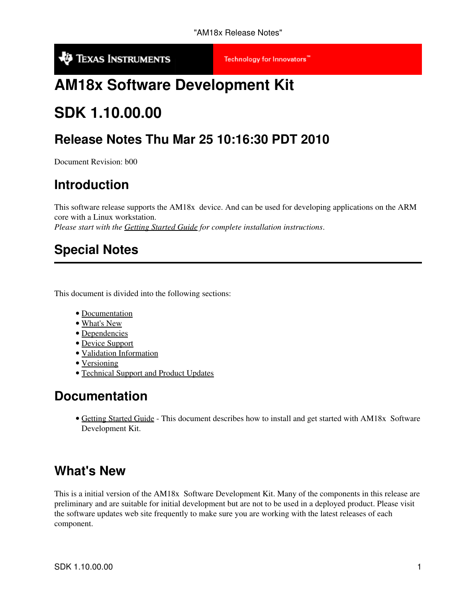**V** TEXAS INSTRUMENTS

Technology for Innovators"

# **AM18x Software Development Kit**

# **SDK 1.10.00.00**

### **Release Notes Thu Mar 25 10:16:30 PDT 2010**

Document Revision: b00

### **Introduction**

This software release supports the AM18x device. And can be used for developing applications on the ARM core with a Linux workstation.

*Please start with the Getting Started Guide for complete installation instructions*.

### **Special Notes**

This document is divided into the following sections:

- Documentation
- What's New
- Dependencies
- Device Support
- Validation Information
- Versioning
- Technical Support and Product Updates

#### **Documentation**

• Getting Started Guide - This document describes how to install and get started with AM18x Software Development Kit.

#### **What's New**

This is a initial version of the AM18x Software Development Kit. Many of the components in this release are preliminary and are suitable for initial development but are not to be used in a deployed product. Please visit the software updates web site frequently to make sure you are working with the latest releases of each component.